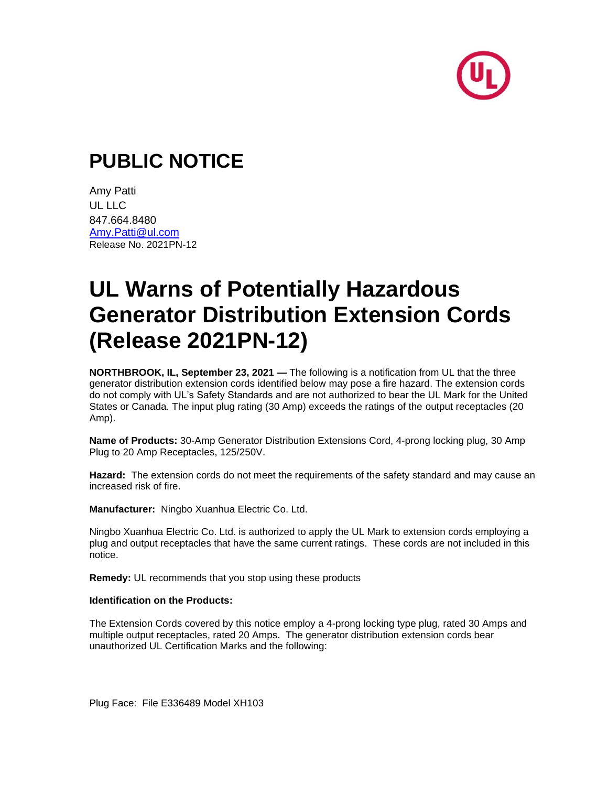

## **PUBLIC NOTICE**

Amy Patti UL LLC 847.664.8480 [Amy.Patti@ul.com](mailto:Amy.Patti@ul.com) Release No. 2021PN-12

# **UL Warns of Potentially Hazardous Generator Distribution Extension Cords (Release 2021PN-12)**

**NORTHBROOK, IL, September 23, 2021 —** The following is a notification from UL that the three generator distribution extension cords identified below may pose a fire hazard. The extension cords do not comply with UL's Safety Standards and are not authorized to bear the UL Mark for the United States or Canada. The input plug rating (30 Amp) exceeds the ratings of the output receptacles (20 Amp).

**Name of Products:** 30-Amp Generator Distribution Extensions Cord, 4-prong locking plug, 30 Amp Plug to 20 Amp Receptacles, 125/250V.

**Hazard:** The extension cords do not meet the requirements of the safety standard and may cause an increased risk of fire.

**Manufacturer:** Ningbo Xuanhua Electric Co. Ltd.

Ningbo Xuanhua Electric Co. Ltd. is authorized to apply the UL Mark to extension cords employing a plug and output receptacles that have the same current ratings. These cords are not included in this notice.

**Remedy:** UL recommends that you stop using these products

#### **Identification on the Products:**

The Extension Cords covered by this notice employ a 4-prong locking type plug, rated 30 Amps and multiple output receptacles, rated 20 Amps. The generator distribution extension cords bear unauthorized UL Certification Marks and the following:

Plug Face: File E336489 Model XH103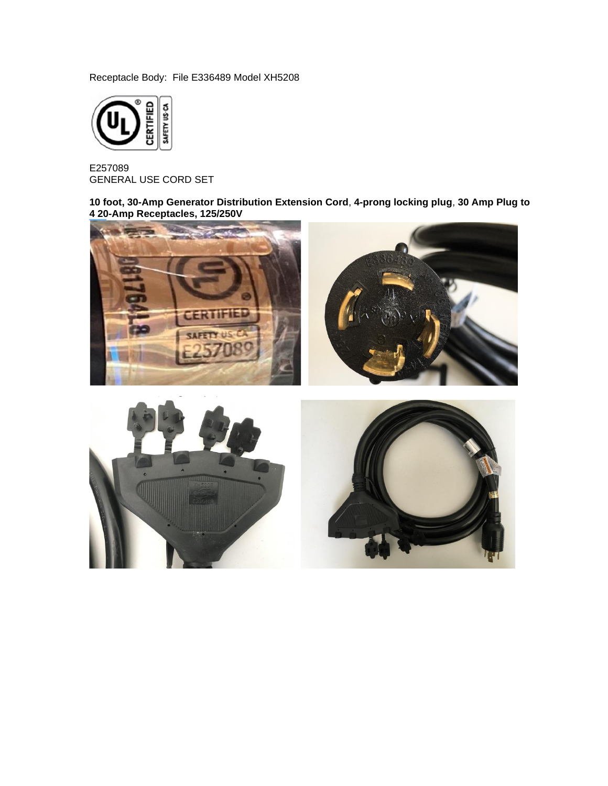Receptacle Body: File E336489 Model XH5208



E257089 GENERAL USE CORD SET

**10 foot, 30-Amp Generator Distribution Extension Cord**, **4-prong locking plug**, **30 Amp Plug to 4 20-Amp Receptacles, 125/250V**

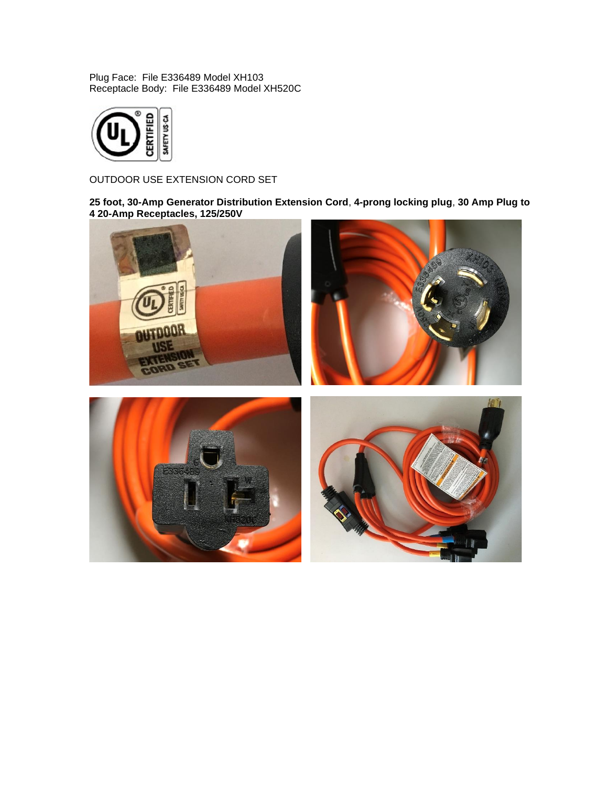Plug Face: File E336489 Model XH103 Receptacle Body: File E336489 Model XH520C



OUTDOOR USE EXTENSION CORD SET

**25 foot, 30-Amp Generator Distribution Extension Cord**, **4-prong locking plug**, **30 Amp Plug to 4 20-Amp Receptacles, 125/250V**